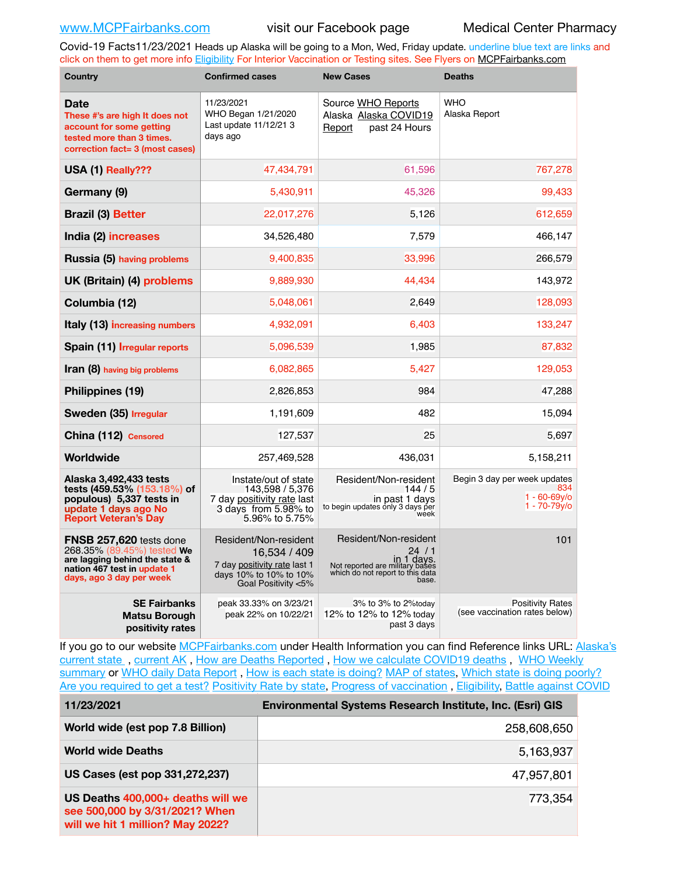Covid-19 Facts11/23/2021 Heads up Alaska will be going to a Mon, Wed, Friday update. underline blue text are links and click on them to get more info [Eligibility](http://dhss.alaska.gov/dph/Epi/id/Pages/COVID-19/VaccineAvailability.aspx) For Interior Vaccination or Testing sites. See Flyers on [MCPFairbanks.com](http://www.MCPFairbanks.com)

| <b>Country</b>                                                                                                                                     | <b>Confirmed cases</b>                                                                                                 | <b>New Cases</b>                                                                                                            | <b>Deaths</b>                                                         |  |
|----------------------------------------------------------------------------------------------------------------------------------------------------|------------------------------------------------------------------------------------------------------------------------|-----------------------------------------------------------------------------------------------------------------------------|-----------------------------------------------------------------------|--|
| <b>Date</b><br>These #'s are high It does not<br>account for some getting<br>tested more than 3 times.<br>correction fact= 3 (most cases)          | 11/23/2021<br>WHO Began 1/21/2020<br>Last update 11/12/21 3<br>days ago                                                | Source WHO Reports<br>Alaska Alaska COVID19<br>past 24 Hours<br>Report                                                      | <b>WHO</b><br>Alaska Report                                           |  |
| USA (1) Really???                                                                                                                                  | 47,434,791                                                                                                             | 61,596                                                                                                                      | 767,278                                                               |  |
| Germany (9)                                                                                                                                        | 5,430,911                                                                                                              | 45,326                                                                                                                      | 99,433                                                                |  |
| <b>Brazil (3) Better</b>                                                                                                                           | 22,017,276                                                                                                             | 5,126                                                                                                                       | 612,659                                                               |  |
| India (2) increases                                                                                                                                | 34,526,480                                                                                                             | 7,579                                                                                                                       | 466,147                                                               |  |
| Russia (5) having problems                                                                                                                         | 9,400,835                                                                                                              | 33,996                                                                                                                      | 266,579                                                               |  |
| UK (Britain) (4) problems                                                                                                                          | 9,889,930                                                                                                              | 44,434                                                                                                                      | 143,972                                                               |  |
| Columbia (12)                                                                                                                                      | 5,048,061                                                                                                              | 2,649                                                                                                                       | 128,093                                                               |  |
| Italy (13) increasing numbers                                                                                                                      | 4,932,091                                                                                                              | 6,403                                                                                                                       | 133,247                                                               |  |
| Spain (11) Irregular reports                                                                                                                       | 5,096,539                                                                                                              | 1,985                                                                                                                       | 87,832                                                                |  |
| Iran (8) having big problems                                                                                                                       | 6,082,865                                                                                                              | 5,427                                                                                                                       | 129,053                                                               |  |
| Philippines (19)                                                                                                                                   | 2,826,853                                                                                                              | 984                                                                                                                         | 47,288                                                                |  |
| Sweden (35) Irregular                                                                                                                              | 1,191,609                                                                                                              | 482                                                                                                                         | 15,094                                                                |  |
| China (112) Censored                                                                                                                               | 127,537                                                                                                                | 25                                                                                                                          | 5,697                                                                 |  |
| Worldwide                                                                                                                                          | 257,469,528                                                                                                            | 436,031                                                                                                                     | 5,158,211                                                             |  |
| Alaska 3,492,433 tests<br>tests (459.53% (153.18%) of<br>populous) 5,337 tests in<br>update 1 days ago No<br><b>Report Veteran's Day</b>           | Instate/out of state<br>143,598 / 5,376<br>7 day positivity rate last<br>3 days from 5.98% to<br>5.96% to 5.75%        | Resident/Non-resident<br>144/5<br>in past 1 days<br>to begin updates only 3 days per<br>week                                | Begin 3 day per week updates<br>834<br>$1 - 60 - 69v$<br>1 - 70-79y/o |  |
| FNSB 257,620 tests done<br>268.35% (89.45%) tested We<br>are lagging behind the state &<br>nation 467 test in update 1<br>days, ago 3 day per week | Resident/Non-resident<br>16,534 / 409<br>7 day positivity rate last 1<br>days 10% to 10% to 10%<br>Goal Positivity <5% | Resident/Non-resident<br>24/1<br>in 1 days.<br>Not reported are military bases<br>which do not report to this data<br>base. | 101                                                                   |  |
| <b>SE Fairbanks</b><br>Matsu Borough<br>positivity rates                                                                                           | peak 33.33% on 3/23/21<br>peak 22% on 10/22/21                                                                         | 3% to 3% to 2%today<br>12% to 12% to 12% today<br>past 3 days                                                               | <b>Positivity Rates</b><br>(see vaccination rates below)              |  |

If you go to our website [MCPFairbanks.com](http://www.MCPFairbanks.com) under Health Information you can find Reference links URL: Alaska's current state, current AK, [How are Deaths Reported](http://dhss.alaska.gov/dph/Epi/id/Pages/COVID-19/deathcounts.aspx), [How we calculate COVID19 deaths](https://coronavirus-response-alaska-dhss.hub.arcgis.com/search?collection=Document&groupIds=41ccb3344ebc4bd682c74073eba21f42), WHO Weekly [summary](http://www.who.int) or [WHO daily Data Report](https://covid19.who.int/table), [How is each state is doing?](https://www.msn.com/en-us/news/us/state-by-state-coronavirus-news/ar-BB13E1PX?fbclid=IwAR0_OBJH7lSyTN3ug_MsOeFnNgB1orTa9OBgilKJ7dhnwlVvHEsptuKkj1c) [MAP of states,](https://www.nationalgeographic.com/science/graphics/graphic-tracking-coronavirus-infections-us?cmpid=org=ngp::mc=crm-email::src=ngp::cmp=editorial::add=SpecialEdition_20210305&rid=B9A6DF5992658E8E35CE023113CFEA4C) [Which state is doing poorly?](https://bestlifeonline.com/covid-outbreak-your-state/?utm_source=nsltr&utm_medium=email&utm_content=covid-outbreak-your-state&utm_campaign=launch) [Are you required to get a test?](http://dhss.alaska.gov/dph/Epi/id/SiteAssets/Pages/HumanCoV/Whattodoafteryourtest.pdf) [Positivity Rate by state](https://coronavirus.jhu.edu/testing/individual-states/alaska), Progress of vaccination, [Eligibility,](http://dhss.alaska.gov/dph/Epi/id/Pages/COVID-19/VaccineAvailability.aspx) [Battle against COVID](https://www.nationalgeographic.com/science/graphics/graphic-tracking-coronavirus-infections-us?cmpid=org=ngp::mc=crm-email::src=ngp::cmp=editorial::add=SpecialEdition_20210219&rid=B9A6DF5992658E8E35CE023113CFEA4C)

| 11/23/2021                                                                                              | <b>Environmental Systems Research Institute, Inc. (Esri) GIS</b> |  |  |
|---------------------------------------------------------------------------------------------------------|------------------------------------------------------------------|--|--|
| World wide (est pop 7.8 Billion)                                                                        | 258,608,650                                                      |  |  |
| <b>World wide Deaths</b>                                                                                | 5,163,937                                                        |  |  |
| US Cases (est pop 331,272,237)                                                                          | 47,957,801                                                       |  |  |
| US Deaths 400,000+ deaths will we<br>see 500,000 by 3/31/2021? When<br>will we hit 1 million? May 2022? | 773,354                                                          |  |  |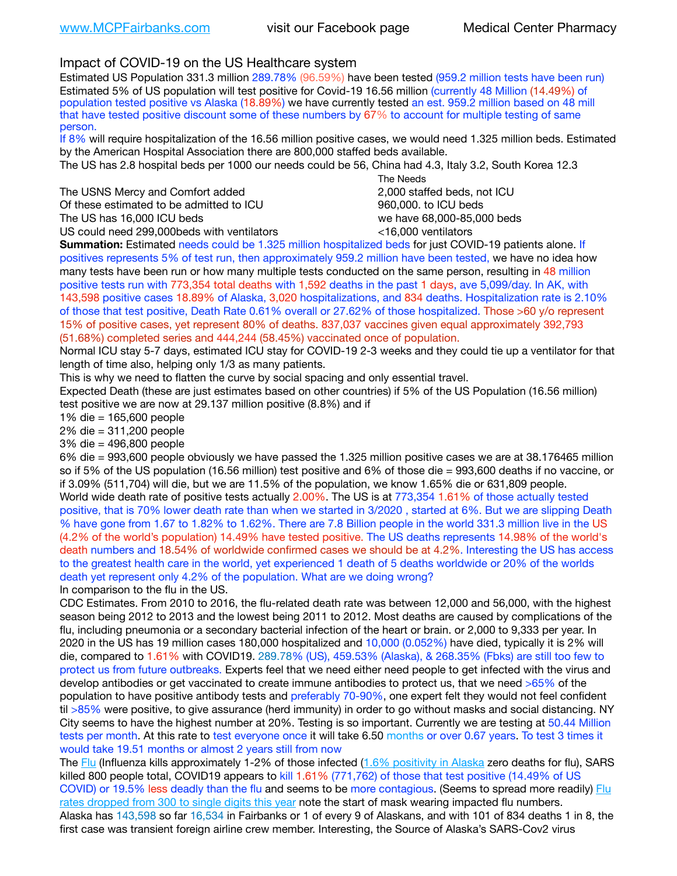## Impact of COVID-19 on the US Healthcare system

Estimated US Population 331.3 million 289.78% (96.59%) have been tested (959.2 million tests have been run) Estimated 5% of US population will test positive for Covid-19 16.56 million (currently 48 Million (14.49%) of population tested positive vs Alaska (18.89%) we have currently tested an est. 959.2 million based on 48 mill that have tested positive discount some of these numbers by 67% to account for multiple testing of same person.

If 8% will require hospitalization of the 16.56 million positive cases, we would need 1.325 million beds. Estimated by the American Hospital Association there are 800,000 staffed beds available.

The US has 2.8 hospital beds per 1000 our needs could be 56, China had 4.3, Italy 3.2, South Korea 12.3

The USNS Mercy and Comfort added 2,000 staffed beds, not ICU Of these estimated to be admitted to ICU  $\qquad \qquad$  960,000, to ICU beds

 The Needs The US has 16,000 ICU beds we have 68,000-85,000 beds US could need 299,000 beds with ventilators  $\leq$ 16,000 ventilators

**Summation:** Estimated needs could be 1.325 million hospitalized beds for just COVID-19 patients alone. If positives represents 5% of test run, then approximately 959.2 million have been tested, we have no idea how many tests have been run or how many multiple tests conducted on the same person, resulting in 48 million positive tests run with 773,354 total deaths with 1,592 deaths in the past 1 days, ave 5,099/day. In AK, with 143,598 positive cases 18.89% of Alaska, 3,020 hospitalizations, and 834 deaths. Hospitalization rate is 2.10% of those that test positive, Death Rate 0.61% overall or 27.62% of those hospitalized. Those >60 y/o represent 15% of positive cases, yet represent 80% of deaths. 837,037 vaccines given equal approximately 392,793 (51.68%) completed series and 444,244 (58.45%) vaccinated once of population.

Normal ICU stay 5-7 days, estimated ICU stay for COVID-19 2-3 weeks and they could tie up a ventilator for that length of time also, helping only 1/3 as many patients.

This is why we need to flatten the curve by social spacing and only essential travel.

Expected Death (these are just estimates based on other countries) if 5% of the US Population (16.56 million) test positive we are now at 29.137 million positive (8.8%) and if

1% die = 165,600 people

2% die = 311,200 people

3% die = 496,800 people

6% die = 993,600 people obviously we have passed the 1.325 million positive cases we are at 38.176465 million so if 5% of the US population (16.56 million) test positive and 6% of those die = 993,600 deaths if no vaccine, or if 3.09% (511,704) will die, but we are 11.5% of the population, we know 1.65% die or 631,809 people. World wide death rate of positive tests actually 2.00%. The US is at 773,354 1.61% of those actually tested positive, that is 70% lower death rate than when we started in 3/2020 , started at 6%. But we are slipping Death % have gone from 1.67 to 1.82% to 1.62%. There are 7.8 Billion people in the world 331.3 million live in the US (4.2% of the world's population) 14.49% have tested positive. The US deaths represents 14.98% of the world's death numbers and 18.54% of worldwide confirmed cases we should be at 4.2%. Interesting the US has access to the greatest health care in the world, yet experienced 1 death of 5 deaths worldwide or 20% of the worlds death yet represent only 4.2% of the population. What are we doing wrong?

In comparison to the flu in the US.

CDC Estimates. From 2010 to 2016, the flu-related death rate was between 12,000 and 56,000, with the highest season being 2012 to 2013 and the lowest being 2011 to 2012. Most deaths are caused by complications of the flu, including pneumonia or a secondary bacterial infection of the heart or brain. or 2,000 to 9,333 per year. In 2020 in the US has 19 million cases 180,000 hospitalized and 10,000 (0.052%) have died, typically it is 2% will die, compared to 1.61% with COVID19. 289.78% (US), 459.53% (Alaska), & 268.35% (Fbks) are still too few to protect us from future outbreaks. Experts feel that we need either need people to get infected with the virus and develop antibodies or get vaccinated to create immune antibodies to protect us, that we need >65% of the population to have positive antibody tests and preferably 70-90%, one expert felt they would not feel confident til >85% were positive, to give assurance (herd immunity) in order to go without masks and social distancing. NY City seems to have the highest number at 20%. Testing is so important. Currently we are testing at 50.44 Million tests per month. At this rate to test everyone once it will take 6.50 months or over 0.67 years. To test 3 times it would take 19.51 months or almost 2 years still from now

The [Flu](https://lnks.gd/l/eyJhbGciOiJIUzI1NiJ9.eyJidWxsZXRpbl9saW5rX2lkIjoxMDMsInVyaSI6ImJwMjpjbGljayIsImJ1bGxldGluX2lkIjoiMjAyMTAyMjYuMzYwNDA3NTEiLCJ1cmwiOiJodHRwczovL3d3dy5jZGMuZ292L2ZsdS93ZWVrbHkvb3ZlcnZpZXcuaHRtIn0.ePMA_hsZ-pTnhWSyg1gHvHWYTu2XceVOt0JejxvP1WE/s/500544915/br/98428119752-l) (Influenza kills approximately 1-2% of those infected ([1.6% positivity in Alaska](http://dhss.alaska.gov/dph/Epi/id/SiteAssets/Pages/influenza/trends/Snapshot.pdf) zero deaths for flu), SARS killed 800 people total, COVID19 appears to kill 1.61% (771,762) of those that test positive (14.49% of US COVID) or 19.5% less deadly than the flu and seems to be more contagious. (Seems to spread more readily) Flu [rates dropped from 300 to single digits this year](https://lnks.gd/l/eyJhbGciOiJIUzI1NiJ9.eyJidWxsZXRpbl9saW5rX2lkIjoxMDEsInVyaSI6ImJwMjpjbGljayIsImJ1bGxldGluX2lkIjoiMjAyMTAyMjYuMzYwNDA3NTEiLCJ1cmwiOiJodHRwOi8vZGhzcy5hbGFza2EuZ292L2RwaC9FcGkvaWQvUGFnZXMvaW5mbHVlbnphL2ZsdWluZm8uYXNweCJ9.oOe3nt2fww6XpsNhb4FZfmtPfPa-irGaldpkURBJhSo/s/500544915/br/98428119752-l) note the start of mask wearing impacted flu numbers. Alaska has 143,598 so far 16,534 in Fairbanks or 1 of every 9 of Alaskans, and with 101 of 834 deaths 1 in 8, the first case was transient foreign airline crew member. Interesting, the Source of Alaska's SARS-Cov2 virus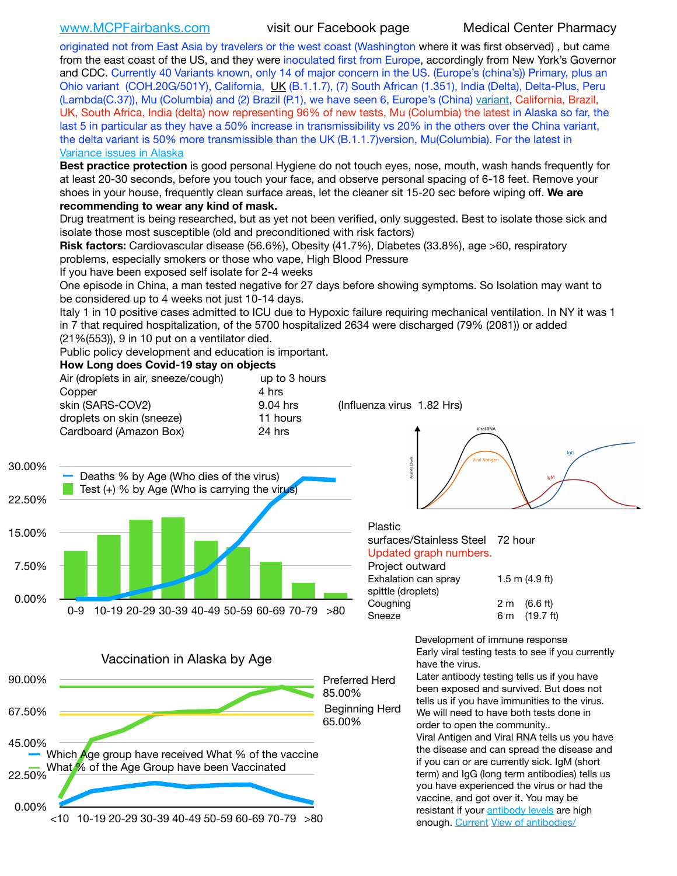[www.MCPFairbanks.com](http://www.MCPFairbanks.com) visit our Facebook page Medical Center Pharmacy

originated not from East Asia by travelers or the west coast (Washington where it was first observed) , but came from the east coast of the US, and they were inoculated first from Europe, accordingly from New York's Governor and CDC. Currently 40 Variants known, only 14 of major concern in the US. (Europe's (china's)) Primary, plus an Ohio variant (COH.20G/501Y), California, [UK](https://www.cdc.gov/coronavirus/2019-ncov/transmission/variant-cases.html) (B.1.1.7), (7) South African (1.351), India (Delta), Delta-Plus, Peru (Lambda(C.37)), Mu (Columbia) and (2) Brazil (P.1), we have seen 6, Europe's (China) [variant,](https://www.webmd.com/lung/news/20210318/cdc-who-create-threat-levels-for-covid-variants?ecd=wnl_cvd_031921&ctr=wnl-cvd-031921&mb=kYbf7DsHb7YGjh/1RUkcAW0T6iorImAU1TDZh18RYs0=_Support_titleLink_2) California, Brazil, UK, South Africa, India (delta) now representing 96% of new tests, Mu (Columbia) the latest in Alaska so far, the last 5 in particular as they have a 50% increase in transmissibility vs 20% in the others over the China variant, the delta variant is 50% more transmissible than the UK (B.1.1.7)version, Mu(Columbia). For the latest in [Variance issues in Alaska](https://akvariants.github.io)

**Best practice protection** is good personal Hygiene do not touch eyes, nose, mouth, wash hands frequently for at least 20-30 seconds, before you touch your face, and observe personal spacing of 6-18 feet. Remove your shoes in your house, frequently clean surface areas, let the cleaner sit 15-20 sec before wiping off. **We are recommending to wear any kind of mask.**

Drug treatment is being researched, but as yet not been verified, only suggested. Best to isolate those sick and isolate those most susceptible (old and preconditioned with risk factors)

**Risk factors:** Cardiovascular disease (56.6%), Obesity (41.7%), Diabetes (33.8%), age >60, respiratory problems, especially smokers or those who vape, High Blood Pressure

If you have been exposed self isolate for 2-4 weeks

One episode in China, a man tested negative for 27 days before showing symptoms. So Isolation may want to be considered up to 4 weeks not just 10-14 days.

Italy 1 in 10 positive cases admitted to ICU due to Hypoxic failure requiring mechanical ventilation. In NY it was 1 in 7 that required hospitalization, of the 5700 hospitalized 2634 were discharged (79% (2081)) or added (21%(553)), 9 in 10 put on a ventilator died.

Public policy development and education is important.

### **How Long does Covid-19 stay on objects**

|        | Air (droplets in air, sneeze/cough)                                                        | up to 3 hours |                                  |                  |
|--------|--------------------------------------------------------------------------------------------|---------------|----------------------------------|------------------|
|        | Copper                                                                                     | 4 hrs         |                                  |                  |
|        | skin (SARS-COV2)                                                                           | 9.04 hrs      | (Influenza virus 1.82 Hrs)       |                  |
|        | droplets on skin (sneeze)                                                                  | 11 hours      |                                  |                  |
|        | Cardboard (Amazon Box)                                                                     | 24 hrs        | Viral RNA                        |                  |
| 30.00% |                                                                                            |               | <b>Viral Antiger</b>             | IgG              |
|        | Deaths % by Age (Who dies of the virus)<br>Test $(+)$ % by Age (Who is carrying the virus) |               |                                  | lqM              |
| 22.50% |                                                                                            |               |                                  |                  |
|        |                                                                                            |               | Plastic                          |                  |
| 15.00% |                                                                                            |               | surfaces/Stainless Steel         | 72 hour          |
|        |                                                                                            |               | Updated graph numbers.           |                  |
| 7.50%  |                                                                                            |               | Project outward                  |                  |
|        |                                                                                            |               | Exhalation can spray             | 1.5 m $(4.9$ ft) |
|        |                                                                                            |               | spittle (droplets)               |                  |
| 0.00%  |                                                                                            |               | $\bigcap$ and a set of $\bigcap$ | <u>റം ഗ്രൂഡ</u>  |

0-9 10-19 20-29 30-39 40-49 50-59 60-69 70-79 >80



0.00% 22.50% 45.00% 67.50% 90.00% <10 10-19 20-29 30-39 40-49 50-59 60-69 70-79 >80 65.00% Beginning Herd 85.00% Preferred Herd Which **Age group have received What % of the vaccine** What % of the Age Group have been Vaccinated



| Project outward      |                    |                        |  |
|----------------------|--------------------|------------------------|--|
| Exhalation can spray | $1.5$ m $(4.9$ ft) |                        |  |
| spittle (droplets)   |                    |                        |  |
| Coughing             |                    | $2 \text{ m}$ (6.6 ft) |  |
| Sneeze               |                    | 6 m (19.7 ft)          |  |

Development of immune response Early viral testing tests to see if you currently have the virus.

Later antibody testing tells us if you have been exposed and survived. But does not tells us if you have immunities to the virus. We will need to have both tests done in order to open the community.. Viral Antigen and Viral RNA tells us you have the disease and can spread the disease and if you can or are currently sick. IgM (short term) and IgG (long term antibodies) tells us you have experienced the virus or had the vaccine, and got over it. You may be resistant if your [antibody levels](https://www.cdc.gov/coronavirus/2019-ncov/lab/resources/antibody-tests.html) are high enough. [Current](https://l.facebook.com/l.php?u=https://www.itv.com/news/2020-10-26/covid-19-antibody-levels-reduce-over-time-study-finds?fbclid=IwAR3Dapzh1qIH1EIOdUQI2y8THf7jfA4KBCaJz8Qg-8xe1YsrR4nsAHDIXSY&h=AT30nut8pkqp0heVuz5W2rT2WFFm-2Ab52BsJxZZCNlGsX58IpPkuVEPULbIUV_M16MAukx1Kwb657DPXxsgDN1rpOQ4gqBtQsmVYiWpnHPJo2RQsU6CPMd14lgLnQnFWxfVi6zvmw&__tn__=-UK-R&c%5B0%5D=AT1GaRAfR_nGAyqcn7TI1-PpvqOqEKXHnz6TDWvRStMnOSH7boQDvTiwTOc6VId9UES6LKiOmm2m88wKCoolkJyOFvakt2Z1Mw8toYWGGoWW23r0MNVBl7cYJXB_UOvGklNHaNnaNr1_S7NhT3BSykNOBg) [View of antibodies/](https://www.livescience.com/antibodies.html)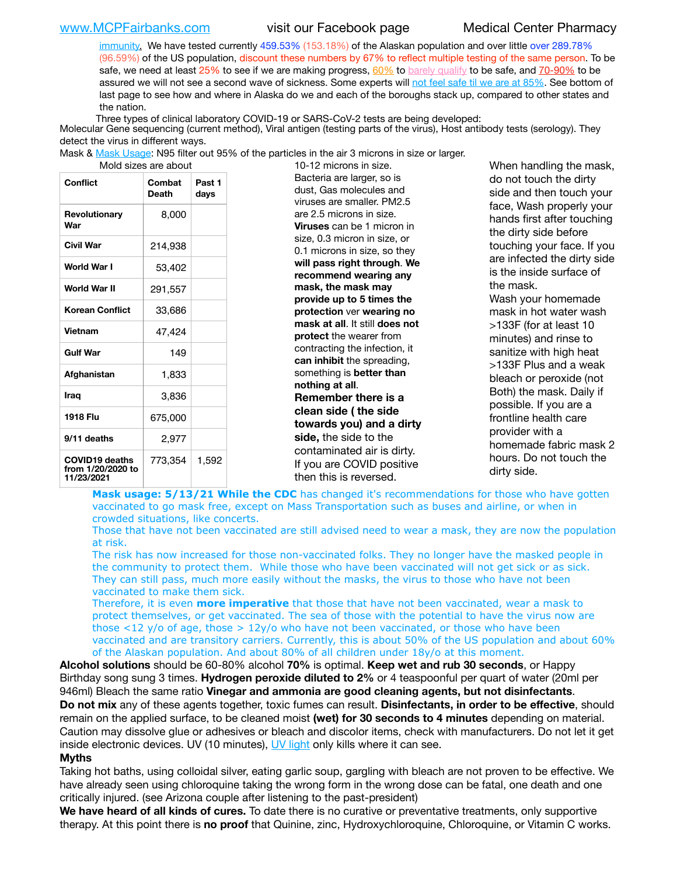[www.MCPFairbanks.com](http://www.MCPFairbanks.com) visit our Facebook page Medical Center Pharmacy

[immunity](https://www.livescience.com/antibodies.html)[.](https://www.itv.com/news/2020-10-26/covid-19-antibody-levels-reduce-over-time-study-finds) We have tested currently 459.53% (153.18%) of the Alaskan population and over little over 289.78% (96.59%) of the US population, discount these numbers by 67% to reflect multiple testing of the same person. To be safe, we need at least 25% to see if we are making progress, [60%](https://www.jhsph.edu/covid-19/articles/achieving-herd-immunity-with-covid19.html) to [barely qualify](https://www.nature.com/articles/d41586-020-02948-4) to be safe, and [70-90%](https://www.mayoclinic.org/herd-immunity-and-coronavirus/art-20486808) to be assured we will not see a second wave of sickness. Some experts will [not feel safe til we are at 85%](https://www.bannerhealth.com/healthcareblog/teach-me/what-is-herd-immunity). See bottom of last page to see how and where in Alaska do we and each of the boroughs stack up, compared to other states and the nation.

Three types of clinical laboratory COVID-19 or SARS-CoV-2 tests are being developed:

Molecular Gene sequencing (current method), Viral antigen (testing parts of the virus), Host antibody tests (serology). They detect the virus in different ways.

Mask & [Mask Usage:](https://www.nationalgeographic.com/history/2020/03/how-cities-flattened-curve-1918-spanish-flu-pandemic-coronavirus/) N95 filter out 95% of the particles in the air 3 microns in size or larger.

| Conflict                                                 | Combat<br><b>Death</b> | Past 1<br>days |  |  |
|----------------------------------------------------------|------------------------|----------------|--|--|
| Revolutionary<br>War                                     | 8,000                  |                |  |  |
| Civil War                                                | 214,938                |                |  |  |
| World War I                                              | 53,402                 |                |  |  |
| World War II                                             | 291,557                |                |  |  |
| <b>Korean Conflict</b>                                   | 33,686                 |                |  |  |
| <b>Vietnam</b>                                           | 47,424                 |                |  |  |
| <b>Gulf War</b>                                          | 149                    |                |  |  |
| Afghanistan                                              | 1,833                  |                |  |  |
| Iraq                                                     | 3,836                  |                |  |  |
| 1918 Flu                                                 | 675,000                |                |  |  |
| 9/11 deaths                                              | 2,977                  |                |  |  |
| <b>COVID19 deaths</b><br>from 1/20/2020 to<br>11/23/2021 | 773,354                | 1,592          |  |  |

10-12 microns in size. Bacteria are larger, so is dust, Gas molecules and viruses are smaller. PM2.5 are 2.5 microns in size. **Viruses** can be 1 micron in size, 0.3 micron in size, or 0.1 microns in size, so they **will pass right through**. **We recommend wearing any mask, the mask may provide up to 5 times the protection** ver **wearing no mask at all**. It still **does not protect** the wearer from contracting the infection, it **can inhibit** the spreading, something is **better than nothing at all**. **Remember there is a clean side ( the side towards you) and a dirty side,** the side to the contaminated air is dirty. If you are COVID positive then this is reversed.

When handling the mask, do not touch the dirty side and then touch your face, Wash properly your hands first after touching the dirty side before touching your face. If you are infected the dirty side is the inside surface of the mask. Wash your homemade mask in hot water wash >133F (for at least 10 minutes) and rinse to sanitize with high heat >133F Plus and a weak bleach or peroxide (not Both) the mask. Daily if possible. If you are a frontline health care provider with a homemade fabric mask 2 hours. Do not touch the dirty side.

**Mask usage: 5/13/21 While the CDC** has changed it's recommendations for those who have gotten vaccinated to go mask free, except on Mass Transportation such as buses and airline, or when in crowded situations, like concerts.

Those that have not been vaccinated are still advised need to wear a mask, they are now the population at risk.

The risk has now increased for those non-vaccinated folks. They no longer have the masked people in the community to protect them. While those who have been vaccinated will not get sick or as sick. They can still pass, much more easily without the masks, the virus to those who have not been vaccinated to make them sick.

Therefore, it is even **more imperative** that those that have not been vaccinated, wear a mask to protect themselves, or get vaccinated. The sea of those with the potential to have the virus now are those <12 y/o of age, those >  $12y$ /o who have not been vaccinated, or those who have been vaccinated and are transitory carriers. Currently, this is about 50% of the US population and about 60% of the Alaskan population. And about 80% of all children under 18y/o at this moment.

**Alcohol solutions** should be 60-80% alcohol **70%** is optimal. **Keep wet and rub 30 seconds**, or Happy Birthday song sung 3 times. **Hydrogen peroxide diluted to 2%** or 4 teaspoonful per quart of water (20ml per 946ml) Bleach the same ratio **Vinegar and ammonia are good cleaning agents, but not disinfectants**. **Do not mix** any of these agents together, toxic fumes can result. **Disinfectants, in order to be effective**, should remain on the applied surface, to be cleaned moist **(wet) for 30 seconds to 4 minutes** depending on material. Caution may dissolve glue or adhesives or bleach and discolor items, check with manufacturers. Do not let it get inside electronic devices. UV (10 minutes), [UV light](http://www.docreviews.me/best-uv-boxes-2020/?fbclid=IwAR3bvFtXB48OoBBSvYvTEnKuHNPbipxM6jUo82QUSw9wckxjC7wwRZWabGw) only kills where it can see.

### **Myths**

Taking hot baths, using colloidal silver, eating garlic soup, gargling with bleach are not proven to be effective. We have already seen using chloroquine taking the wrong form in the wrong dose can be fatal, one death and one critically injured. (see Arizona couple after listening to the past-president)

**We have heard of all kinds of cures.** To date there is no curative or preventative treatments, only supportive therapy. At this point there is **no proof** that Quinine, zinc, Hydroxychloroquine, Chloroquine, or Vitamin C works.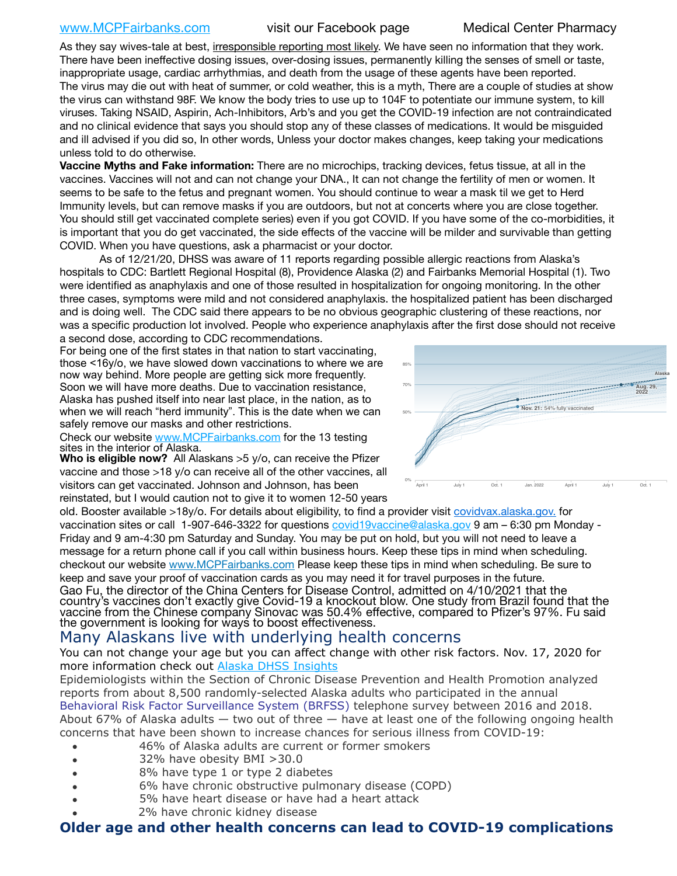## [www.MCPFairbanks.com](http://www.MCPFairbanks.com) visit our Facebook page Medical Center Pharmacy

As they say wives-tale at best, irresponsible reporting most likely. We have seen no information that they work. There have been ineffective dosing issues, over-dosing issues, permanently killing the senses of smell or taste, inappropriate usage, cardiac arrhythmias, and death from the usage of these agents have been reported. The virus may die out with heat of summer, or cold weather, this is a myth, There are a couple of studies at show the virus can withstand 98F. We know the body tries to use up to 104F to potentiate our immune system, to kill viruses. Taking NSAID, Aspirin, Ach-Inhibitors, Arb's and you get the COVID-19 infection are not contraindicated and no clinical evidence that says you should stop any of these classes of medications. It would be misguided and ill advised if you did so, In other words, Unless your doctor makes changes, keep taking your medications unless told to do otherwise.

**Vaccine Myths and Fake information:** There are no microchips, tracking devices, fetus tissue, at all in the vaccines. Vaccines will not and can not change your DNA., It can not change the fertility of men or women. It seems to be safe to the fetus and pregnant women. You should continue to wear a mask til we get to Herd Immunity levels, but can remove masks if you are outdoors, but not at concerts where you are close together. You should still get vaccinated complete series) even if you got COVID. If you have some of the co-morbidities, it is important that you do get vaccinated, the side effects of the vaccine will be milder and survivable than getting COVID. When you have questions, ask a pharmacist or your doctor.

As of 12/21/20, DHSS was aware of 11 reports regarding possible allergic reactions from Alaska's hospitals to CDC: Bartlett Regional Hospital (8), Providence Alaska (2) and Fairbanks Memorial Hospital (1). Two were identified as anaphylaxis and one of those resulted in hospitalization for ongoing monitoring. In the other three cases, symptoms were mild and not considered anaphylaxis. the hospitalized patient has been discharged and is doing well. The CDC said there appears to be no obvious geographic clustering of these reactions, nor was a specific production lot involved. People who experience anaphylaxis after the first dose should not receive a second dose, according to CDC recommendations. nng. me

For being one of the first states in that nation to start vaccinating, those <16y/o, we have slowed down vaccinations to where we are now way behind. More people are getting sick more frequently. Soon we will have more deaths. Due to vaccination resistance, Alaska has pushed itself into near last place, in the nation, as to when we will reach "herd immunity". This is the date when we can safely remove our masks and other restrictions.

Check our website [www.MCPFairbanks.com](http://www.MCPFairbanks.com) for the 13 testing sites in the interior of Alaska.





old. Booster available >18y/o. For details about eligibility, to find a provider visit [covidvax.alaska.gov.](https://lnks.gd/l/eyJhbGciOiJIUzI1NiJ9.eyJidWxsZXRpbl9saW5rX2lkIjoxMDYsInVyaSI6ImJwMjpjbGljayIsImJ1bGxldGluX2lkIjoiMjAyMTAxMjguMzQwODU3NjEiLCJ1cmwiOiJodHRwOi8vZGhzcy5hbGFza2EuZ292L2RwaC9FcGkvaWQvUGFnZXMvQ09WSUQtMTkvdmFjY2luZS5hc3B4In0.-Xwhl42jAWOMS7ewfS85uxwrwjohCso3Sb81DuDKtxU/s/500544915/br/93796640171-l) for vaccination sites or call 1-907-646-3322 for questions *covid19vaccine@alaska.gov* 9 am – 6:30 pm Monday -Friday and 9 am-4:30 pm Saturday and Sunday. You may be put on hold, but you will not need to leave a message for a return phone call if you call within business hours. Keep these tips in mind when scheduling. checkout our website [www.MCPFairbanks.com](http://www.MCPFairbanks.com) Please keep these tips in mind when scheduling. Be sure to keep and save your proof of vaccination cards as you may need it for travel purposes in the future. Gao Fu, the director of the China Centers for Disease Control, admitted on 4/10/2021 that the country's vaccines don't exactly give Covid-19 a knockout blow. One study from Brazil found that the vaccine from the Chinese company Sinovac was 50.4% effective, compared to Pfizer's 97%. Fu said

### the government is looking for ways to boost effectiveness. Many Alaskans live with underlying health concerns

You can not change your age but you can affect change with other risk factors. Nov. 17, 2020 for more information check out **[Alaska DHSS Insights](http://dhss.alaska.gov/dph/Epi/id/Pages/COVID-19/blog/20201117.aspx)** 

Epidemiologists within the Section of Chronic Disease Prevention and Health Promotion analyzed reports from about 8,500 randomly-selected Alaska adults who participated in the annual [Behavioral Risk Factor Surveillance System \(BRFSS\)](http://dhss.alaska.gov/dph/Chronic/Pages/brfss/default.aspx) telephone survey between 2016 and 2018. About 67% of Alaska adults — two out of three — have at least one of the following ongoing health concerns that have been shown to increase chances for serious illness from COVID-19:

- 46% of Alaska adults are current or former smokers
- 32% have obesity BMI >30.0
- 8% have type 1 or type 2 diabetes
- 6% have chronic obstructive pulmonary disease (COPD)
- 5% have heart disease or have had a heart attack
- 2% have chronic kidney disease

# **Older age and other health concerns can lead to COVID-19 complications**